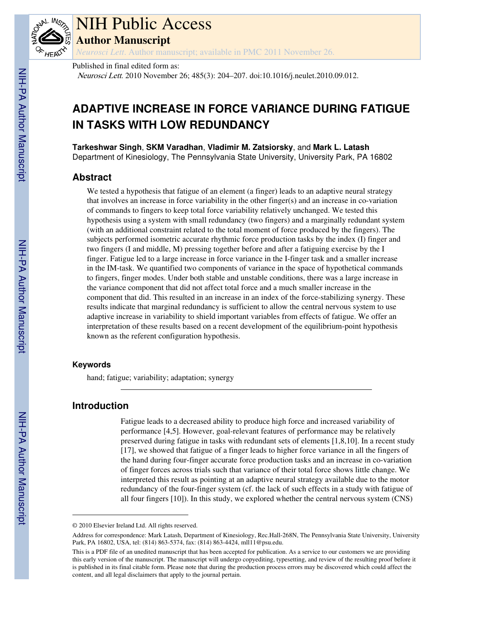

# NIH Public Access

**Author Manuscript**

*Neurosci Lett*. Author manuscript; available in PMC 2011 November 26.

#### Published in final edited form as:

Neurosci Lett. 2010 November 26; 485(3): 204–207. doi:10.1016/j.neulet.2010.09.012.

# **ADAPTIVE INCREASE IN FORCE VARIANCE DURING FATIGUE IN TASKS WITH LOW REDUNDANCY**

**Tarkeshwar Singh**, **SKM Varadhan**, **Vladimir M. Zatsiorsky**, and **Mark L. Latash**

Department of Kinesiology, The Pennsylvania State University, University Park, PA 16802

# **Abstract**

We tested a hypothesis that fatigue of an element (a finger) leads to an adaptive neural strategy that involves an increase in force variability in the other finger(s) and an increase in co-variation of commands to fingers to keep total force variability relatively unchanged. We tested this hypothesis using a system with small redundancy (two fingers) and a marginally redundant system (with an additional constraint related to the total moment of force produced by the fingers). The subjects performed isometric accurate rhythmic force production tasks by the index (I) finger and two fingers (I and middle, M) pressing together before and after a fatiguing exercise by the I finger. Fatigue led to a large increase in force variance in the I-finger task and a smaller increase in the IM-task. We quantified two components of variance in the space of hypothetical commands to fingers, finger modes. Under both stable and unstable conditions, there was a large increase in the variance component that did not affect total force and a much smaller increase in the component that did. This resulted in an increase in an index of the force-stabilizing synergy. These results indicate that marginal redundancy is sufficient to allow the central nervous system to use adaptive increase in variability to shield important variables from effects of fatigue. We offer an interpretation of these results based on a recent development of the equilibrium-point hypothesis known as the referent configuration hypothesis.

#### **Keywords**

hand; fatigue; variability; adaptation; synergy

# **Introduction**

Fatigue leads to a decreased ability to produce high force and increased variability of performance [4,5]. However, goal-relevant features of performance may be relatively preserved during fatigue in tasks with redundant sets of elements [1,8,10]. In a recent study [17], we showed that fatigue of a finger leads to higher force variance in all the fingers of the hand during four-finger accurate force production tasks and an increase in co-variation of finger forces across trials such that variance of their total force shows little change. We interpreted this result as pointing at an adaptive neural strategy available due to the motor redundancy of the four-finger system (cf. the lack of such effects in a study with fatigue of all four fingers [10]). In this study, we explored whether the central nervous system (CNS)

<sup>© 2010</sup> Elsevier Ireland Ltd. All rights reserved.

Address for correspondence: Mark Latash, Department of Kinesiology, Rec.Hall-268N, The Pennsylvania State University, University Park, PA 16802, USA, tel: (814) 863-5374, fax: (814) 863-4424, mll11@psu.edu.

This is a PDF file of an unedited manuscript that has been accepted for publication. As a service to our customers we are providing this early version of the manuscript. The manuscript will undergo copyediting, typesetting, and review of the resulting proof before it is published in its final citable form. Please note that during the production process errors may be discovered which could affect the content, and all legal disclaimers that apply to the journal pertain.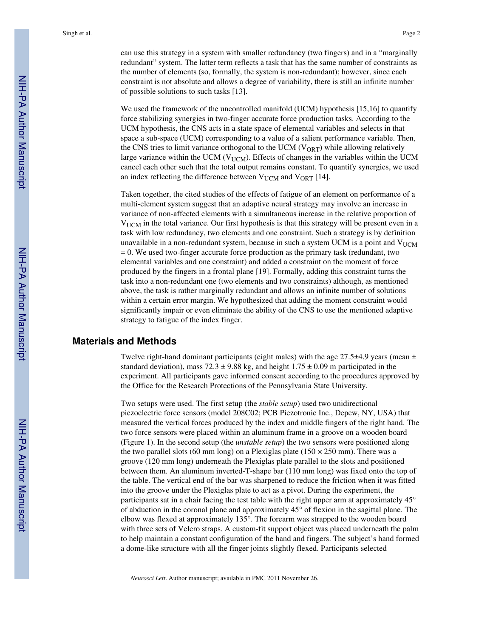can use this strategy in a system with smaller redundancy (two fingers) and in a "marginally redundant" system. The latter term reflects a task that has the same number of constraints as the number of elements (so, formally, the system is non-redundant); however, since each constraint is not absolute and allows a degree of variability, there is still an infinite number of possible solutions to such tasks [13].

We used the framework of the uncontrolled manifold (UCM) hypothesis [15,16] to quantify force stabilizing synergies in two-finger accurate force production tasks. According to the UCM hypothesis, the CNS acts in a state space of elemental variables and selects in that space a sub-space (UCM) corresponding to a value of a salient performance variable. Then, the CNS tries to limit variance orthogonal to the UCM ( $V_{\text{ORT}}$ ) while allowing relatively large variance within the UCM ( $V_{UCM}$ ). Effects of changes in the variables within the UCM cancel each other such that the total output remains constant. To quantify synergies, we used an index reflecting the difference between  $V_{UCM}$  and  $V_{ORT}$  [14].

Taken together, the cited studies of the effects of fatigue of an element on performance of a multi-element system suggest that an adaptive neural strategy may involve an increase in variance of non-affected elements with a simultaneous increase in the relative proportion of  $V_{UCM}$  in the total variance. Our first hypothesis is that this strategy will be present even in a task with low redundancy, two elements and one constraint. Such a strategy is by definition unavailable in a non-redundant system, because in such a system UCM is a point and  $V_{UCM}$  $= 0$ . We used two-finger accurate force production as the primary task (redundant, two elemental variables and one constraint) and added a constraint on the moment of force produced by the fingers in a frontal plane [19]. Formally, adding this constraint turns the task into a non-redundant one (two elements and two constraints) although, as mentioned above, the task is rather marginally redundant and allows an infinite number of solutions within a certain error margin. We hypothesized that adding the moment constraint would significantly impair or even eliminate the ability of the CNS to use the mentioned adaptive strategy to fatigue of the index finger.

#### **Materials and Methods**

Twelve right-hand dominant participants (eight males) with the age  $27.5\pm4.9$  years (mean  $\pm$ standard deviation), mass  $72.3 \pm 9.88$  kg, and height  $1.75 \pm 0.09$  m participated in the experiment. All participants gave informed consent according to the procedures approved by the Office for the Research Protections of the Pennsylvania State University.

Two setups were used. The first setup (the *stable setup*) used two unidirectional piezoelectric force sensors (model 208C02; PCB Piezotronic Inc., Depew, NY, USA) that measured the vertical forces produced by the index and middle fingers of the right hand. The two force sensors were placed within an aluminum frame in a groove on a wooden board (Figure 1). In the second setup (the *unstable setup*) the two sensors were positioned along the two parallel slots (60 mm long) on a Plexiglas plate (150  $\times$  250 mm). There was a groove (120 mm long) underneath the Plexiglas plate parallel to the slots and positioned between them. An aluminum inverted-T-shape bar (110 mm long) was fixed onto the top of the table. The vertical end of the bar was sharpened to reduce the friction when it was fitted into the groove under the Plexiglas plate to act as a pivot. During the experiment, the participants sat in a chair facing the test table with the right upper arm at approximately 45° of abduction in the coronal plane and approximately 45° of flexion in the sagittal plane. The elbow was flexed at approximately 135°. The forearm was strapped to the wooden board with three sets of Velcro straps. A custom-fit support object was placed underneath the palm to help maintain a constant configuration of the hand and fingers. The subject's hand formed a dome-like structure with all the finger joints slightly flexed. Participants selected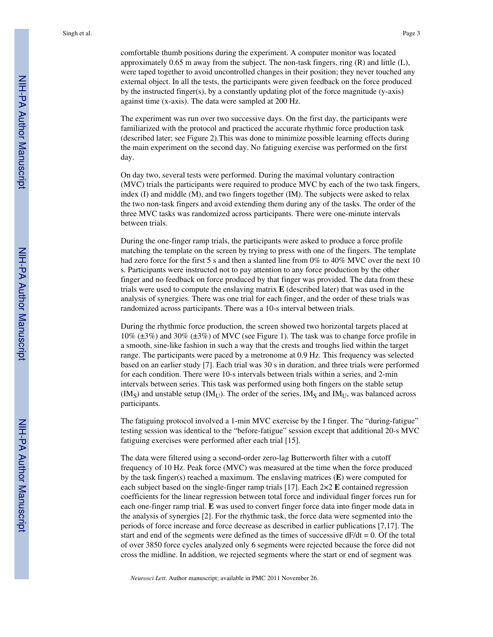comfortable thumb positions during the experiment. A computer monitor was located approximately  $0.65$  m away from the subject. The non-task fingers, ring  $(R)$  and little  $(L)$ , were taped together to avoid uncontrolled changes in their position; they never touched any external object. In all the tests, the participants were given feedback on the force produced by the instructed finger(s), by a constantly updating plot of the force magnitude (y-axis) against time (x-axis). The data were sampled at 200 Hz.

The experiment was run over two successive days. On the first day, the participants were familiarized with the protocol and practiced the accurate rhythmic force production task (described later; see Figure 2).This was done to minimize possible learning effects during the main experiment on the second day. No fatiguing exercise was performed on the first day.

On day two, several tests were performed. During the maximal voluntary contraction (MVC) trials the participants were required to produce MVC by each of the two task fingers, index (I) and middle (M), and two fingers together (IM). The subjects were asked to relax the two non-task fingers and avoid extending them during any of the tasks. The order of the three MVC tasks was randomized across participants. There were one-minute intervals between trials.

During the one-finger ramp trials, the participants were asked to produce a force profile matching the template on the screen by trying to press with one of the fingers. The template had zero force for the first 5 s and then a slanted line from 0% to 40% MVC over the next 10 s. Participants were instructed not to pay attention to any force production by the other finger and no feedback on force produced by that finger was provided. The data from these trials were used to compute the enslaving matrix **E** (described later) that was used in the analysis of synergies. There was one trial for each finger, and the order of these trials was randomized across participants. There was a 10-s interval between trials.

During the rhythmic force production, the screen showed two horizontal targets placed at 10% ( $\pm$ 3%) and 30% ( $\pm$ 3%) of MVC (see Figure 1). The task was to change force profile in a smooth, sine-like fashion in such a way that the crests and troughs lied within the target range. The participants were paced by a metronome at 0.9 Hz. This frequency was selected based on an earlier study [7]. Each trial was 30 s in duration, and three trials were performed for each condition. There were 10-s intervals between trials within a series, and 2-min intervals between series. This task was performed using both fingers on the stable setup  $(IM_S)$  and unstable setup  $(IM_U)$ . The order of the series,  $IM_S$  and  $IM_U$ , was balanced across participants.

The fatiguing protocol involved a 1-min MVC exercise by the I finger. The "during-fatigue" testing session was identical to the "before-fatigue" session except that additional 20-s MVC fatiguing exercises were performed after each trial [15].

The data were filtered using a second-order zero-lag Butterworth filter with a cutoff frequency of 10 Hz. Peak force (MVC) was measured at the time when the force produced by the task finger(s) reached a maximum. The enslaving matrices (**E**) were computed for each subject based on the single-finger ramp trials [17]. Each 2×2 **E** contained regression coefficients for the linear regression between total force and individual finger forces run for each one-finger ramp trial. **E** was used to convert finger force data into finger mode data in the analysis of synergies [2]. For the rhythmic task, the force data were segmented into the periods of force increase and force decrease as described in earlier publications [7,17]. The start and end of the segments were defined as the times of successive dF/dt = 0. Of the total of over 3850 force cycles analyzed only 6 segments were rejected because the force did not cross the midline. In addition, we rejected segments where the start or end of segment was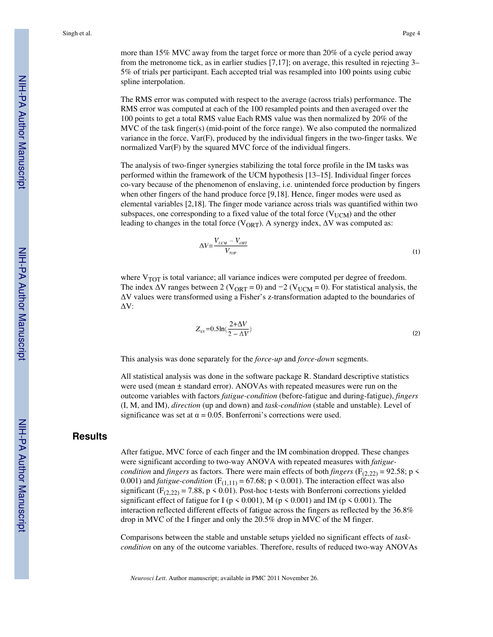Singh et al. Page 4

more than 15% MVC away from the target force or more than 20% of a cycle period away from the metronome tick, as in earlier studies [7,17]; on average, this resulted in rejecting 3– 5% of trials per participant. Each accepted trial was resampled into 100 points using cubic spline interpolation.

The RMS error was computed with respect to the average (across trials) performance. The RMS error was computed at each of the 100 resampled points and then averaged over the 100 points to get a total RMS value Each RMS value was then normalized by 20% of the MVC of the task finger(s) (mid-point of the force range). We also computed the normalized variance in the force, Var(F), produced by the individual fingers in the two-finger tasks. We normalized Var(F) by the squared MVC force of the individual fingers.

The analysis of two-finger synergies stabilizing the total force profile in the IM tasks was performed within the framework of the UCM hypothesis [13–15]. Individual finger forces co-vary because of the phenomenon of enslaving, i.e. unintended force production by fingers when other fingers of the hand produce force [9,18]. Hence, finger modes were used as elemental variables [2,18]. The finger mode variance across trials was quantified within two subspaces, one corresponding to a fixed value of the total force  $(V_{\text{UCM}})$  and the other leading to changes in the total force ( $V_{ORT}$ ). A synergy index,  $\Delta V$  was computed as:

$$
\Delta V = \frac{V_{UCM} - V_{ORT}}{V_{TOT}}\tag{1}
$$

where  $V_{TOT}$  is total variance; all variance indices were computed per degree of freedom. The index  $\Delta V$  ranges between 2 (V<sub>ORT</sub> = 0) and  $-2$  (V<sub>UCM</sub> = 0). For statistical analysis, the ΔV values were transformed using a Fisher's z-transformation adapted to the boundaries of ΔV:

$$
Z_{\text{av}} = 0.5 \ln(\frac{2 + \Delta V}{2 - \Delta V})
$$
\n<sup>(2)</sup>

This analysis was done separately for the *force-up* and *force-down* segments.

All statistical analysis was done in the software package R. Standard descriptive statistics were used (mean ± standard error). ANOVAs with repeated measures were run on the outcome variables with factors *fatigue-condition* (before-fatigue and during-fatigue), *fingers* (I, M, and IM), *direction* (up and down) and *task-condition* (stable and unstable). Level of significance was set at  $\alpha = 0.05$ . Bonferroni's corrections were used.

#### **Results**

After fatigue, MVC force of each finger and the IM combination dropped. These changes were significant according to two-way ANOVA with repeated measures with *fatiguecondition* and *fingers* as factors. There were main effects of both *fingers* ( $F_{(2,22)} = 92.58$ ; p < 0.001) and *fatigue-condition* ( $F_{(1,11)} = 67.68$ ;  $p \le 0.001$ ). The interaction effect was also significant ( $F_{(2,22)} = 7.88$ ,  $p \le 0.01$ ). Post-hoc t-tests with Bonferroni corrections yielded significant effect of fatigue for I ( $p \le 0.001$ ), M ( $p \le 0.001$ ) and IM ( $p \le 0.001$ ). The interaction reflected different effects of fatigue across the fingers as reflected by the 36.8% drop in MVC of the I finger and only the 20.5% drop in MVC of the M finger.

Comparisons between the stable and unstable setups yielded no significant effects of *taskcondition* on any of the outcome variables. Therefore, results of reduced two-way ANOVAs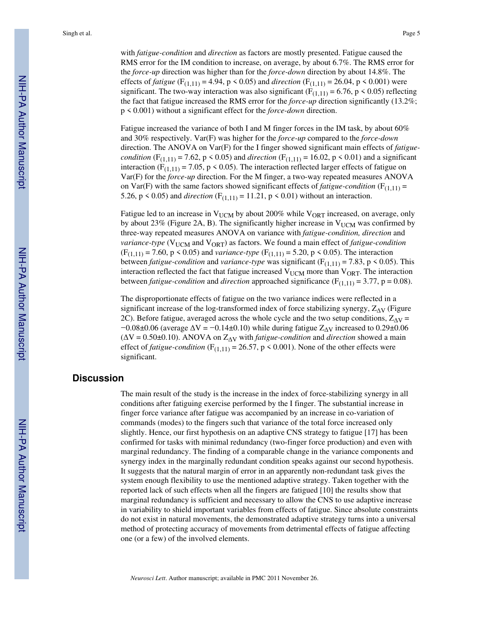with *fatigue-condition* and *direction* as factors are mostly presented. Fatigue caused the RMS error for the IM condition to increase, on average, by about 6.7%. The RMS error for the *force-up* direction was higher than for the *force-down* direction by about 14.8%. The effects of *fatigue* (F<sub>(1,11)</sub> = 4.94, p < 0.05) and *direction* (F<sub>(1,11)</sub> = 26.04, p < 0.001) were significant. The two-way interaction was also significant ( $F_{(1,11)} = 6.76$ , p < 0.05) reflecting the fact that fatigue increased the RMS error for the *force-up* direction significantly (13.2%; p < 0.001) without a significant effect for the *force-down* direction.

Fatigue increased the variance of both I and M finger forces in the IM task, by about 60% and 30% respectively. Var(F) was higher for the *force-up* compared to the *force-down* direction. The ANOVA on Var(F) for the I finger showed significant main effects of *fatiguecondition* (F<sub>(1,11)</sub> = 7.62, p < 0.05) and *direction* (F<sub>(1,11)</sub> = 16.02, p < 0.01) and a significant interaction ( $F_{(1,11)} = 7.05$ , p < 0.05). The interaction reflected larger effects of fatigue on Var(F) for the *force-up* direction. For the M finger, a two-way repeated measures ANOVA on Var(F) with the same factors showed significant effects of *fatigue-condition* ( $F_{(1,11)}$  = 5.26,  $p \le 0.05$ ) and *direction* ( $F_{(1,11)} = 11.21$ ,  $p \le 0.01$ ) without an interaction.

Fatigue led to an increase in  $V_{UCM}$  by about 200% while  $V_{ORT}$  increased, on average, only by about 23% (Figure 2A, B). The significantly higher increase in  $V_{UCM}$  was confirmed by three-way repeated measures ANOVA on variance with *fatigue-condition, direction* and *variance-type* (V<sub>UCM</sub> and V<sub>ORT</sub>) as factors. We found a main effect of *fatigue-condition*  $(F_{(1,11)} = 7.60, p \le 0.05)$  and *variance-type*  $(F_{(1,11)} = 5.20, p \le 0.05)$ . The interaction between *fatigue-condition* and *variance-type* was significant ( $F_{(1,11)} = 7.83$ ,  $p \le 0.05$ ). This interaction reflected the fact that fatigue increased  $V_{UCM}$  more than  $V_{ORT}$ . The interaction between *fatigue-condition* and *direction* approached significance ( $F_{(1,11)} = 3.77$ ,  $p = 0.08$ ).

The disproportionate effects of fatigue on the two variance indices were reflected in a significant increase of the log-transformed index of force stabilizing synergy,  $Z_{\rm AV}$  (Figure 2C). Before fatigue, averaged across the whole cycle and the two setup conditions,  $Z_{\Delta V}$  =  $-0.08\pm0.06$  (average  $\Delta V = -0.14\pm0.10$ ) while during fatigue  $Z_{\Delta V}$  increased to 0.29±0.06  $(\Delta V = 0.50 \pm 0.10)$ . ANOVA on  $Z_{\Delta V}$  with *fatigue-condition* and *direction* showed a main effect of *fatigue-condition* ( $F_{(1,11)} = 26.57$ ,  $p \le 0.001$ ). None of the other effects were significant.

#### **Discussion**

The main result of the study is the increase in the index of force-stabilizing synergy in all conditions after fatiguing exercise performed by the I finger. The substantial increase in finger force variance after fatigue was accompanied by an increase in co-variation of commands (modes) to the fingers such that variance of the total force increased only slightly. Hence, our first hypothesis on an adaptive CNS strategy to fatigue [17] has been confirmed for tasks with minimal redundancy (two-finger force production) and even with marginal redundancy. The finding of a comparable change in the variance components and synergy index in the marginally redundant condition speaks against our second hypothesis. It suggests that the natural margin of error in an apparently non-redundant task gives the system enough flexibility to use the mentioned adaptive strategy. Taken together with the reported lack of such effects when all the fingers are fatigued [10] the results show that marginal redundancy is sufficient and necessary to allow the CNS to use adaptive increase in variability to shield important variables from effects of fatigue. Since absolute constraints do not exist in natural movements, the demonstrated adaptive strategy turns into a universal method of protecting accuracy of movements from detrimental effects of fatigue affecting one (or a few) of the involved elements.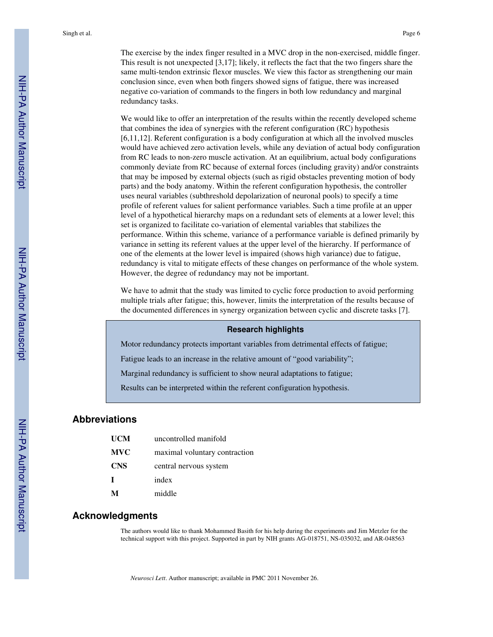The exercise by the index finger resulted in a MVC drop in the non-exercised, middle finger.

This result is not unexpected [3,17]; likely, it reflects the fact that the two fingers share the same multi-tendon extrinsic flexor muscles. We view this factor as strengthening our main conclusion since, even when both fingers showed signs of fatigue, there was increased negative co-variation of commands to the fingers in both low redundancy and marginal redundancy tasks.

We would like to offer an interpretation of the results within the recently developed scheme that combines the idea of synergies with the referent configuration (RC) hypothesis [6,11,12]. Referent configuration is a body configuration at which all the involved muscles would have achieved zero activation levels, while any deviation of actual body configuration from RC leads to non-zero muscle activation. At an equilibrium, actual body configurations commonly deviate from RC because of external forces (including gravity) and/or constraints that may be imposed by external objects (such as rigid obstacles preventing motion of body parts) and the body anatomy. Within the referent configuration hypothesis, the controller uses neural variables (subthreshold depolarization of neuronal pools) to specify a time profile of referent values for salient performance variables. Such a time profile at an upper level of a hypothetical hierarchy maps on a redundant sets of elements at a lower level; this set is organized to facilitate co-variation of elemental variables that stabilizes the performance. Within this scheme, variance of a performance variable is defined primarily by variance in setting its referent values at the upper level of the hierarchy. If performance of one of the elements at the lower level is impaired (shows high variance) due to fatigue, redundancy is vital to mitigate effects of these changes on performance of the whole system. However, the degree of redundancy may not be important.

We have to admit that the study was limited to cyclic force production to avoid performing multiple trials after fatigue; this, however, limits the interpretation of the results because of the documented differences in synergy organization between cyclic and discrete tasks [7].

#### **Research highlights**

Motor redundancy protects important variables from detrimental effects of fatigue;

Fatigue leads to an increase in the relative amount of "good variability";

Marginal redundancy is sufficient to show neural adaptations to fatigue;

Results can be interpreted within the referent configuration hypothesis.

### **Abbreviations**

| UCM | uncontrolled manifold         |
|-----|-------------------------------|
| MVC | maximal voluntary contraction |
| CNS | central nervous system        |
| T   | index                         |
| М   | middle                        |
|     |                               |

#### **Acknowledgments**

The authors would like to thank Mohammed Basith for his help during the experiments and Jim Metzler for the technical support with this project. Supported in part by NIH grants AG-018751, NS-035032, and AR-048563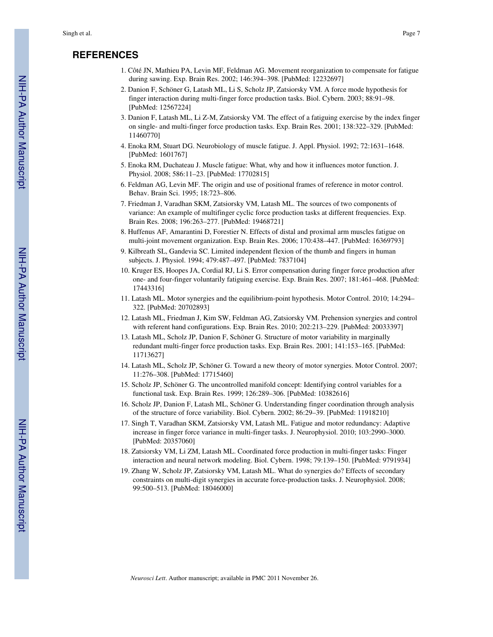# **REFERENCES**

- 1. Côté JN, Mathieu PA, Levin MF, Feldman AG. Movement reorganization to compensate for fatigue during sawing. Exp. Brain Res. 2002; 146:394–398. [PubMed: 12232697]
- 2. Danion F, Schöner G, Latash ML, Li S, Scholz JP, Zatsiorsky VM. A force mode hypothesis for finger interaction during multi-finger force production tasks. Biol. Cybern. 2003; 88:91–98. [PubMed: 12567224]
- 3. Danion F, Latash ML, Li Z-M, Zatsiorsky VM. The effect of a fatiguing exercise by the index finger on single- and multi-finger force production tasks. Exp. Brain Res. 2001; 138:322–329. [PubMed: 11460770]
- 4. Enoka RM, Stuart DG. Neurobiology of muscle fatigue. J. Appl. Physiol. 1992; 72:1631–1648. [PubMed: 1601767]
- 5. Enoka RM, Duchateau J. Muscle fatigue: What, why and how it influences motor function. J. Physiol. 2008; 586:11–23. [PubMed: 17702815]
- 6. Feldman AG, Levin MF. The origin and use of positional frames of reference in motor control. Behav. Brain Sci. 1995; 18:723–806.
- 7. Friedman J, Varadhan SKM, Zatsiorsky VM, Latash ML. The sources of two components of variance: An example of multifinger cyclic force production tasks at different frequencies. Exp. Brain Res. 2008; 196:263–277. [PubMed: 19468721]
- 8. Huffenus AF, Amarantini D, Forestier N. Effects of distal and proximal arm muscles fatigue on multi-joint movement organization. Exp. Brain Res. 2006; 170:438–447. [PubMed: 16369793]
- 9. Kilbreath SL, Gandevia SC. Limited independent flexion of the thumb and fingers in human subjects. J. Physiol. 1994; 479:487–497. [PubMed: 7837104]
- 10. Kruger ES, Hoopes JA, Cordial RJ, Li S. Error compensation during finger force production after one- and four-finger voluntarily fatiguing exercise. Exp. Brain Res. 2007; 181:461–468. [PubMed: 17443316]
- 11. Latash ML. Motor synergies and the equilibrium-point hypothesis. Motor Control. 2010; 14:294– 322. [PubMed: 20702893]
- 12. Latash ML, Friedman J, Kim SW, Feldman AG, Zatsiorsky VM. Prehension synergies and control with referent hand configurations. Exp. Brain Res. 2010; 202:213–229. [PubMed: 20033397]
- 13. Latash ML, Scholz JP, Danion F, Schöner G. Structure of motor variability in marginally redundant multi-finger force production tasks. Exp. Brain Res. 2001; 141:153–165. [PubMed: 11713627]
- 14. Latash ML, Scholz JP, Schöner G. Toward a new theory of motor synergies. Motor Control. 2007; 11:276–308. [PubMed: 17715460]
- 15. Scholz JP, Schöner G. The uncontrolled manifold concept: Identifying control variables for a functional task. Exp. Brain Res. 1999; 126:289–306. [PubMed: 10382616]
- 16. Scholz JP, Danion F, Latash ML, Schöner G. Understanding finger coordination through analysis of the structure of force variability. Biol. Cybern. 2002; 86:29–39. [PubMed: 11918210]
- 17. Singh T, Varadhan SKM, Zatsiorsky VM, Latash ML. Fatigue and motor redundancy: Adaptive increase in finger force variance in multi-finger tasks. J. Neurophysiol. 2010; 103:2990–3000. [PubMed: 20357060]
- 18. Zatsiorsky VM, Li ZM, Latash ML. Coordinated force production in multi-finger tasks: Finger interaction and neural network modeling. Biol. Cybern. 1998; 79:139–150. [PubMed: 9791934]
- 19. Zhang W, Scholz JP, Zatsiorsky VM, Latash ML. What do synergies do? Effects of secondary constraints on multi-digit synergies in accurate force-production tasks. J. Neurophysiol. 2008; 99:500–513. [PubMed: 18046000]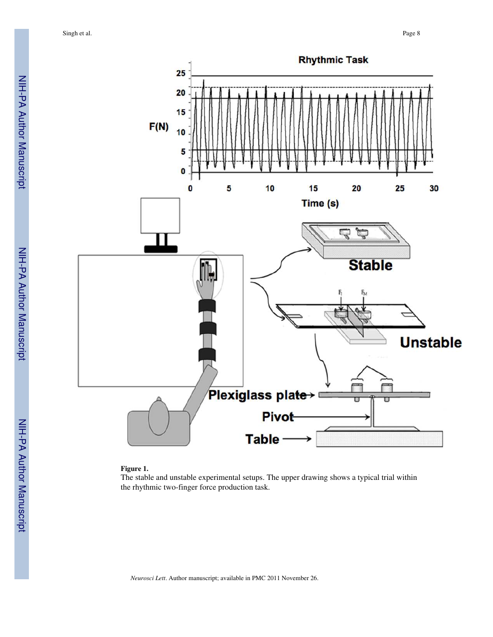Singh et al. Page 8



#### **Figure 1.**

The stable and unstable experimental setups. The upper drawing shows a typical trial within the rhythmic two-finger force production task.